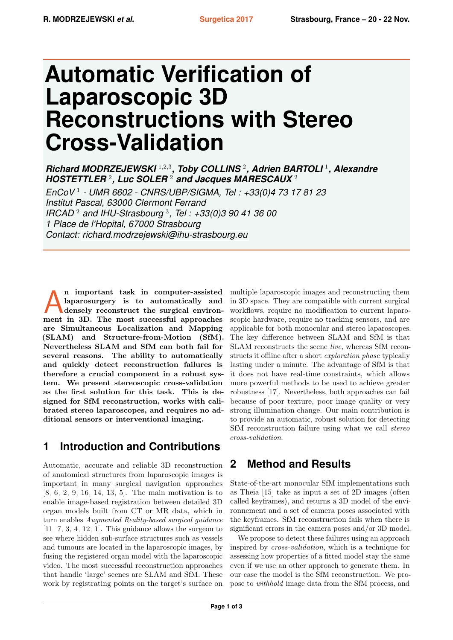# **Automatic Verification of Laparoscopic 3D Reconstructions with Stereo Cross-Validation**

*Richard MODRZEJEWSKI* <sup>1</sup>,2,<sup>3</sup> *, Toby COLLINS* <sup>2</sup> *, Adrien BARTOLI* <sup>1</sup> *, Alexandre HOSTETTLER* <sup>2</sup> *, Luc SOLER* <sup>2</sup> *and Jacques MARESCAUX* <sup>2</sup>

*EnCoV* <sup>1</sup> *- UMR 6602 - CNRS/UBP/SIGMA, Tel : +33(0)4 73 17 81 23 Institut Pascal, 63000 Clermont Ferrand IRCAD* <sup>2</sup> *and IHU-Strasbourg* <sup>3</sup> *, Tel : +33(0)3 90 41 36 00 1 Place de l'Hopital, 67000 Strasbourg Contact: [richard.modrzejewski@ihu-strasbourg.eu](mailto:richard.modrzejewski@ihu-strasbourg.eu)*

A important task in computer-assisted laparosurgery is to automatically and densely reconstruct the surgical environment in 3D. The most successful approaches n important task in computer-assisted laparosurgery is to automatically and densely reconstruct the surgical environare Simultaneous Localization and Mapping (SLAM) and Structure-from-Motion (SfM). Nevertheless SLAM and SfM can both fail for several reasons. The ability to automatically and quickly detect reconstruction failures is therefore a crucial component in a robust system. We present stereoscopic cross-validation as the first solution for this task. This is designed for SfM reconstruction, works with calibrated stereo laparoscopes, and requires no additional sensors or interventional imaging.

### **1 Introduction and Contributions**

Automatic, accurate and reliable 3D reconstruction of anatomical structures from laparoscopic images is important in many surgical navigation approaches [\[8,](#page-2-0) [6,](#page-2-1) [2,](#page-2-2) [9,](#page-2-3) [16,](#page-2-4) [14,](#page-2-5) [13,](#page-2-6) [5\]](#page-2-7). The main motivation is to enable image-based registration between detailed 3D organ models built from CT or MR data, which in turn enables Augmented Reality-based surgical guidance  $[11, 7, 3, 4, 12, 1]$  $[11, 7, 3, 4, 12, 1]$  $[11, 7, 3, 4, 12, 1]$  $[11, 7, 3, 4, 12, 1]$  $[11, 7, 3, 4, 12, 1]$  $[11, 7, 3, 4, 12, 1]$  $[11, 7, 3, 4, 12, 1]$  $[11, 7, 3, 4, 12, 1]$  $[11, 7, 3, 4, 12, 1]$  $[11, 7, 3, 4, 12, 1]$  $[11, 7, 3, 4, 12, 1]$ . This guidance allows the surgeon to see where hidden sub-surface structures such as vessels and tumours are located in the laparoscopic images, by fusing the registered organ model with the laparoscopic video. The most successful reconstruction approaches that handle 'large' scenes are SLAM and SfM. These work by registrating points on the target's surface on

multiple laparoscopic images and reconstructing them in 3D space. They are compatible with current surgical workflows, require no modification to current laparoscopic hardware, require no tracking sensors, and are applicable for both monocular and stereo laparoscopes. The key difference between SLAM and SfM is that SLAM reconstructs the scene live, whereas SfM reconstructs it offline after a short exploration phase typically lasting under a minute. The advantage of SfM is that it does not have real-time constraints, which allows more powerful methods to be used to achieve greater robustness [\[17\]](#page-2-14). Nevertheless, both approaches can fail because of poor texture, poor image quality or very strong illumination change. Our main contribution is to provide an automatic, robust solution for detecting SfM reconstruction failure using what we call stereo cross-validation.

### **2 Method and Results**

State-of-the-art monocular SfM implementations such as Theia [\[15\]](#page-2-15) take as input a set of 2D images (often called keyframes), and returns a 3D model of the environnement and a set of camera poses associated with the keyframes. SfM reconstruction fails when there is significant errors in the camera poses and/or 3D model.

We propose to detect these failures using an approach inspired by cross-validation, which is a technique for assessing how properties of a fitted model stay the same even if we use an other approach to generate them. In our case the model is the SfM reconstruction. We propose to withhold image data from the SfM process, and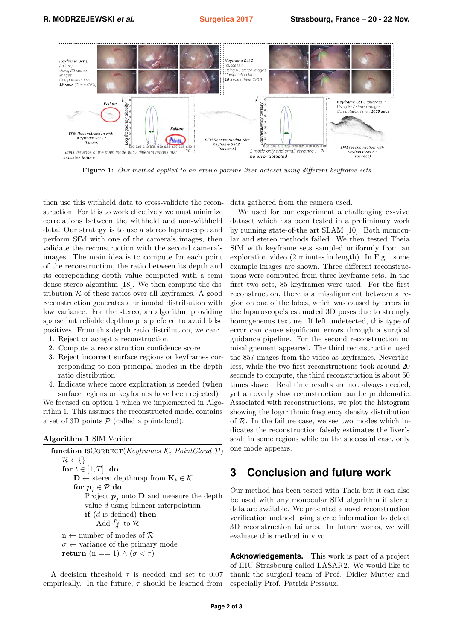

Figure 1: Our method applied to an exvivo porcine liver dataset using different keyframe sets

then use this withheld data to cross-validate the reconstruction. For this to work effectively we must minimize correlations between the withheld and non-withheld data. Our strategy is to use a stereo laparoscope and perform SfM with one of the camera's images, then validate the reconstruction with the second camera's images. The main idea is to compute for each point of the reconstruction, the ratio between its depth and its correponding depth value computed with a semi dense stereo algorithm [\[18\]](#page-2-17). We then compute the distribution  $\mathcal R$  of these ratios over all keyframes. A good reconstruction generates a unimodal distribution with low variance. For the stereo, an algorithm providing sparse but reliable depthmap is prefered to avoid false positives. From this depth ratio distribution, we can:

- 1. Reject or accept a reconstruction
- 2. Compute a reconstruction confidence score
- 3. Reject incorrect surface regions or keyframes corresponding to non principal modes in the depth ratio distribution
- 4. Indicate where more exploration is needed (when surface regions or keyframes have been rejected)

We focused on option 1 which we implemented in Algorithm 1. This assumes the reconstructed model contains a set of 3D points  $P$  (called a pointcloud).

| Algorithm 1 SfM Verifier |  |  |  |
|--------------------------|--|--|--|
|--------------------------|--|--|--|

function ISCORRECT(Keyframes K, PointCloud  $P$ )  $\mathcal{R} \leftarrow \{\}$ for  $t \in [1, T]$  do  $\mathbf{D} \leftarrow$  stereo depthmap from  $\mathbf{K}_t \in \mathcal{K}$ for  $p_i \in \mathcal{P}$  do Project  $p_i$  onto D and measure the depth value d using bilinear interpolation if  $(d$  is defined) then Add  $\frac{\mathbf{p}_j}{d}$  to  $\mathcal{R}$  $n \leftarrow$  number of modes of  $\mathcal{R}$  $\sigma \leftarrow$  variance of the primary mode return (n == 1)  $\wedge$  ( $\sigma$  <  $\tau$ )

A decision threshold  $\tau$  is needed and set to 0.07 empirically. In the future,  $\tau$  should be learned from data gathered from the camera used.

We used for our experiment a challenging ex-vivo dataset which has been tested in a preliminary work by running state-of-the art SLAM [\[10\]](#page-2-18). Both monocular and stereo methods failed. We then tested Theia SfM with keyframe sets sampled uniformly from an exploration video (2 minutes in length). In Fig.1 some example images are shown. Three different reconstructions were computed from three keyframe sets. In the first two sets, 85 keyframes were used. For the first reconstruction, there is a misalignment between a region on one of the lobes, which was caused by errors in the laparoscope's estimated 3D poses due to strongly homogeneous texture. If left undetected, this type of error can cause significant errors through a surgical guidance pipeline. For the second reconstruction no misalignement appeared. The third reconstruction used the 857 images from the video as keyframes. Nevertheless, while the two first reconstructions took around 20 seconds to compute, the third reconstruction is about 50 times slower. Real time results are not always needed, yet an overly slow reconstruction can be problematic. Associated with reconstructions, we plot the histogram showing the logarithmic frequency density distribution of  $R$ . In the failure case, we see two modes which indicates the reconstruction falsely estimates the liver's scale in some regions while on the successful case, only one mode appears.

#### **3 Conclusion and future work**

Our method has been tested with Theia but it can also be used with any monocular SfM algorithm if stereo data are available. We presented a novel reconstruction verification method using stereo information to detect 3D reconstruction failures. In future works, we will evaluate this method in vivo.

**Acknowledgements.** This work is part of a project of IHU Strasbourg called LASAR2. We would like to thank the surgical team of Prof. Didier Mutter and especially Prof. Patrick Pessaux.